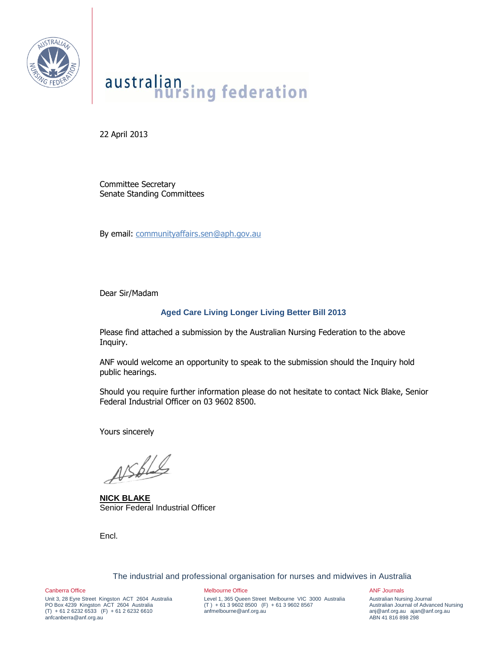

# australian<br>
nursing federation

22 April 2013

Committee Secretary Senate Standing Committees

By email: [communityaffairs.sen@aph.gov.au](mailto:communityaffairs.sen@aph.gov.au)

Dear Sir/Madam

# **Aged Care Living Longer Living Better Bill 2013**

Please find attached a submission by the Australian Nursing Federation to the above Inquiry.

ANF would welcome an opportunity to speak to the submission should the Inquiry hold public hearings.

Should you require further information please do not hesitate to contact Nick Blake, Senior Federal Industrial Officer on 03 9602 8500.

Yours sincerely

 $\n *Assb*\n$ 

**NICK BLAKE** Senior Federal Industrial Officer

Encl.

The industrial and professional organisation for nurses and midwives in Australia

Canberra Office

Unit 3, 28 Eyre Street Kingston ACT 2604 Australia PO Box 4239 Kingston ACT 2604 Australia  $(T) + 61262326533$   $(F) + 61262326610$ anfcanberra@anf.org.au

Melbourne Office

Level 1, 365 Queen Street Melbourne VIC 3000 Australia  $(T) + 61396028500$  (F) + 61 3 9602 8567 anfmelbourne@anf.org.au

ANF Journals

Australian Nursing Journal Australian Journal of Advanced Nursing anj@anf.org.au ajan@anf.org.au ABN 41 816 898 298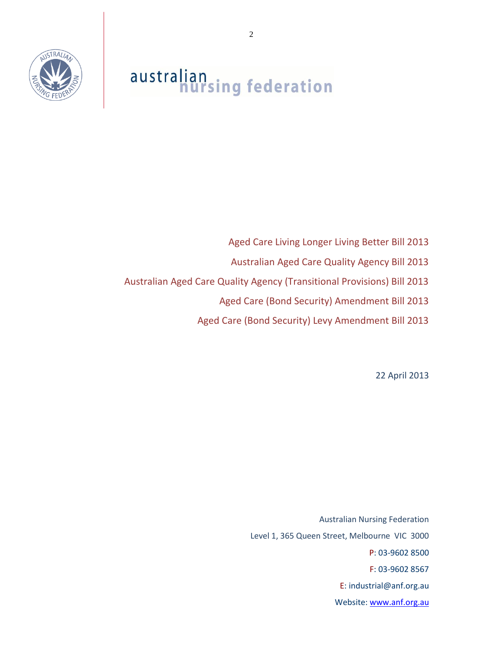

# australian<br>nursing federation

Aged Care Living Longer Living Better Bill 2013 Australian Aged Care Quality Agency Bill 2013 Australian Aged Care Quality Agency (Transitional Provisions) Bill 2013 Aged Care (Bond Security) Amendment Bill 2013 Aged Care (Bond Security) Levy Amendment Bill 2013

22 April 2013

Australian Nursing Federation Level 1, 365 Queen Street, Melbourne VIC 3000 P: 03-9602 8500 F: 03-9602 8567 E: industrial@anf.org.au Website: [www.anf.org.au](http://www.anf.org.au/)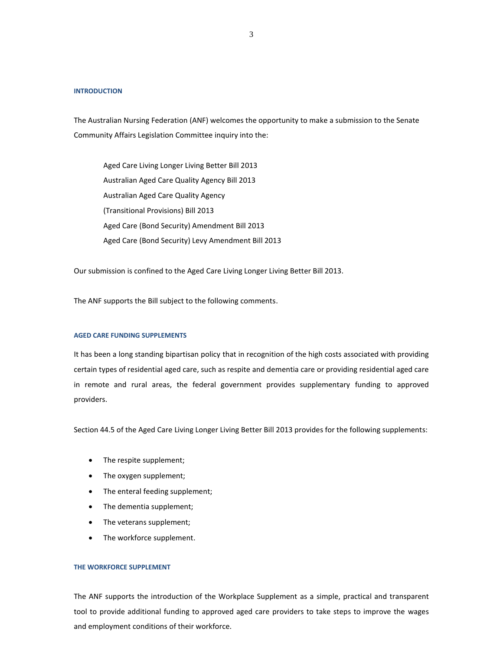#### **INTRODUCTION**

The Australian Nursing Federation (ANF) welcomes the opportunity to make a submission to the Senate Community Affairs Legislation Committee inquiry into the:

Aged Care Living Longer Living Better Bill 2013 Australian Aged Care Quality Agency Bill 2013 Australian Aged Care Quality Agency (Transitional Provisions) Bill 2013 Aged Care (Bond Security) Amendment Bill 2013 Aged Care (Bond Security) Levy Amendment Bill 2013

Our submission is confined to the Aged Care Living Longer Living Better Bill 2013.

The ANF supports the Bill subject to the following comments.

## **AGED CARE FUNDING SUPPLEMENTS**

It has been a long standing bipartisan policy that in recognition of the high costs associated with providing certain types of residential aged care, such as respite and dementia care or providing residential aged care in remote and rural areas, the federal government provides supplementary funding to approved providers.

Section 44.5 of the Aged Care Living Longer Living Better Bill 2013 provides for the following supplements:

- The respite supplement;
- The oxygen supplement;
- The enteral feeding supplement;
- The dementia supplement;
- The veterans supplement;
- The workforce supplement.

#### **THE WORKFORCE SUPPLEMENT**

The ANF supports the introduction of the Workplace Supplement as a simple, practical and transparent tool to provide additional funding to approved aged care providers to take steps to improve the wages and employment conditions of their workforce.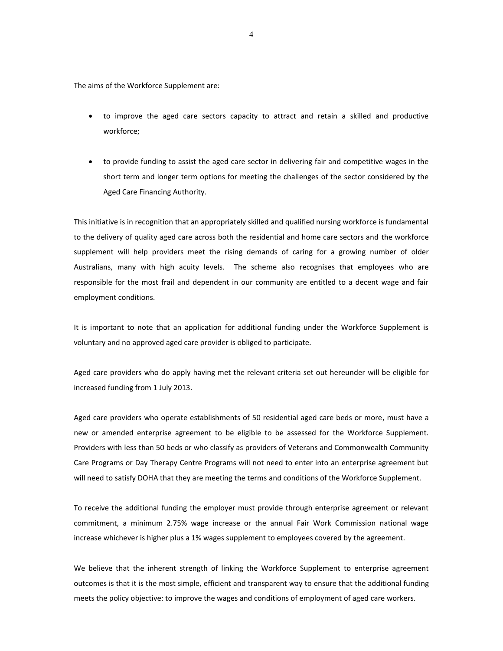The aims of the Workforce Supplement are:

- to improve the aged care sectors capacity to attract and retain a skilled and productive workforce;
- to provide funding to assist the aged care sector in delivering fair and competitive wages in the short term and longer term options for meeting the challenges of the sector considered by the Aged Care Financing Authority.

This initiative is in recognition that an appropriately skilled and qualified nursing workforce is fundamental to the delivery of quality aged care across both the residential and home care sectors and the workforce supplement will help providers meet the rising demands of caring for a growing number of older Australians, many with high acuity levels. The scheme also recognises that employees who are responsible for the most frail and dependent in our community are entitled to a decent wage and fair employment conditions.

It is important to note that an application for additional funding under the Workforce Supplement is voluntary and no approved aged care provider is obliged to participate.

Aged care providers who do apply having met the relevant criteria set out hereunder will be eligible for increased funding from 1 July 2013.

Aged care providers who operate establishments of 50 residential aged care beds or more, must have a new or amended enterprise agreement to be eligible to be assessed for the Workforce Supplement. Providers with less than 50 beds or who classify as providers of Veterans and Commonwealth Community Care Programs or Day Therapy Centre Programs will not need to enter into an enterprise agreement but will need to satisfy DOHA that they are meeting the terms and conditions of the Workforce Supplement.

To receive the additional funding the employer must provide through enterprise agreement or relevant commitment, a minimum 2.75% wage increase or the annual Fair Work Commission national wage increase whichever is higher plus a 1% wages supplement to employees covered by the agreement.

We believe that the inherent strength of linking the Workforce Supplement to enterprise agreement outcomes is that it is the most simple, efficient and transparent way to ensure that the additional funding meets the policy objective: to improve the wages and conditions of employment of aged care workers.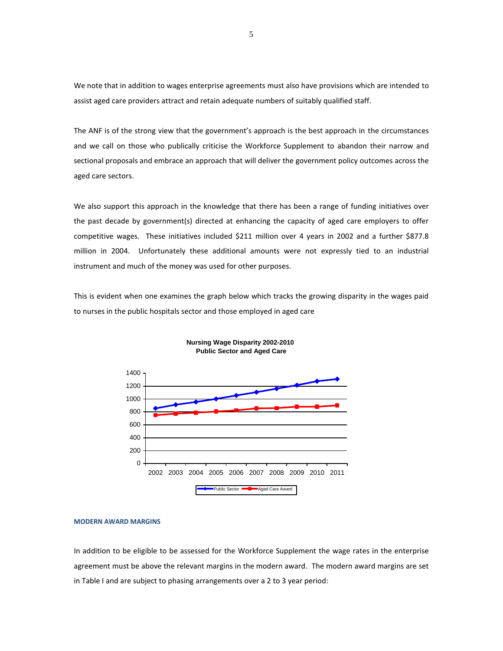We note that in addition to wages enterprise agreements must also have provisions which are intended to assist aged care providers attract and retain adequate numbers of suitably qualified staff.

The ANF is of the strong view that the government's approach is the best approach in the circumstances and we call on those who publically criticise the Workforce Supplement to abandon their narrow and sectional proposals and embrace an approach that will deliver the government policy outcomes across the aged care sectors.

We also support this approach in the knowledge that there has been a range of funding initiatives over the past decade by government(s) directed at enhancing the capacity of aged care employers to offer competitive wages. These initiatives included \$211 million over 4 years in 2002 and a further \$877.8 million in 2004. Unfortunately these additional amounts were not expressly tied to an industrial instrument and much of the money was used for other purposes.

This is evident when one examines the graph below which tracks the growing disparity in the wages paid to nurses in the public hospitals sector and those employed in aged care





#### **MODERN AWARD MARGINS**

In addition to be eligible to be assessed for the Workforce Supplement the wage rates in the enterprise agreement must be above the relevant margins in the modern award. The modern award margins are set in Table I and are subject to phasing arrangements over a 2 to 3 year period: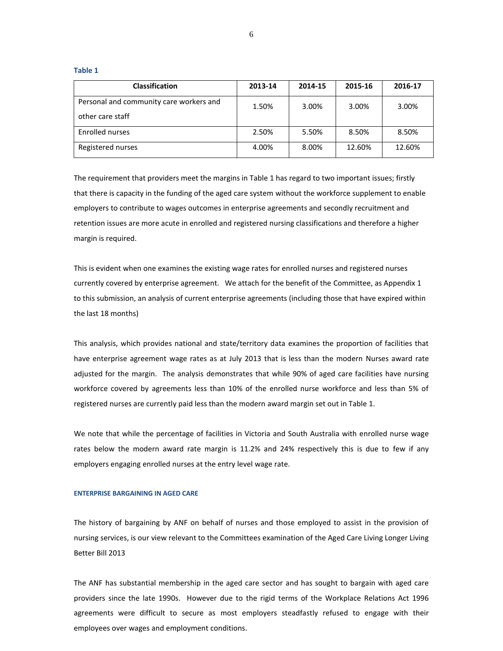| <b>Classification</b>                   | 2013-14 | 2014-15 | 2015-16 | 2016-17 |
|-----------------------------------------|---------|---------|---------|---------|
| Personal and community care workers and | 1.50%   | 3.00%   | 3.00%   | 3.00%   |
| other care staff                        |         |         |         |         |
| Enrolled nurses                         | 2.50%   | 5.50%   | 8.50%   | 8.50%   |
| Registered nurses                       | 4.00%   | 8.00%   | 12.60%  | 12.60%  |

**Table 1**

The requirement that providers meet the margins in Table 1 has regard to two important issues; firstly that there is capacity in the funding of the aged care system without the workforce supplement to enable employers to contribute to wages outcomes in enterprise agreements and secondly recruitment and retention issues are more acute in enrolled and registered nursing classifications and therefore a higher margin is required.

This is evident when one examines the existing wage rates for enrolled nurses and registered nurses currently covered by enterprise agreement. We attach for the benefit of the Committee, as Appendix 1 to this submission, an analysis of current enterprise agreements (including those that have expired within the last 18 months)

This analysis, which provides national and state/territory data examines the proportion of facilities that have enterprise agreement wage rates as at July 2013 that is less than the modern Nurses award rate adjusted for the margin. The analysis demonstrates that while 90% of aged care facilities have nursing workforce covered by agreements less than 10% of the enrolled nurse workforce and less than 5% of registered nurses are currently paid less than the modern award margin set out in Table 1.

We note that while the percentage of facilities in Victoria and South Australia with enrolled nurse wage rates below the modern award rate margin is 11.2% and 24% respectively this is due to few if any employers engaging enrolled nurses at the entry level wage rate.

#### **ENTERPRISE BARGAINING IN AGED CARE**

The history of bargaining by ANF on behalf of nurses and those employed to assist in the provision of nursing services, is our view relevant to the Committees examination of the Aged Care Living Longer Living Better Bill 2013

The ANF has substantial membership in the aged care sector and has sought to bargain with aged care providers since the late 1990s. However due to the rigid terms of the Workplace Relations Act 1996 agreements were difficult to secure as most employers steadfastly refused to engage with their employees over wages and employment conditions.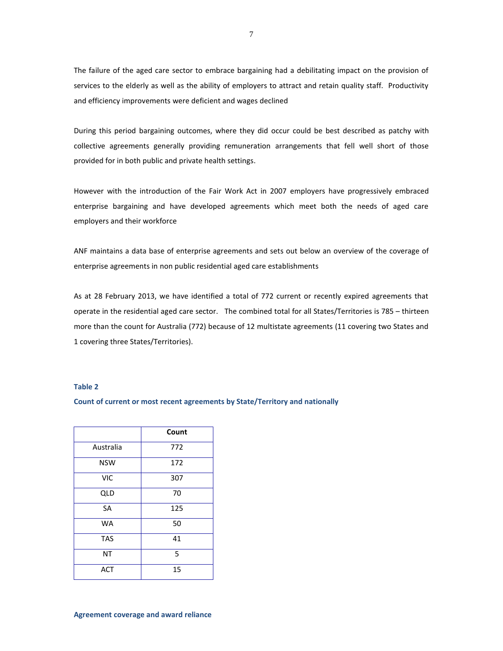The failure of the aged care sector to embrace bargaining had a debilitating impact on the provision of services to the elderly as well as the ability of employers to attract and retain quality staff. Productivity and efficiency improvements were deficient and wages declined

During this period bargaining outcomes, where they did occur could be best described as patchy with collective agreements generally providing remuneration arrangements that fell well short of those provided for in both public and private health settings.

However with the introduction of the Fair Work Act in 2007 employers have progressively embraced enterprise bargaining and have developed agreements which meet both the needs of aged care employers and their workforce

ANF maintains a data base of enterprise agreements and sets out below an overview of the coverage of enterprise agreements in non public residential aged care establishments

As at 28 February 2013, we have identified a total of 772 current or recently expired agreements that operate in the residential aged care sector.The combined total for all States/Territories is 785 – thirteen more than the count for Australia (772) because of 12 multistate agreements (11 covering two States and 1 covering three States/Territories).

### **Table 2**

#### **Count of current or most recent agreements by State/Territory and nationally**

|            | Count |
|------------|-------|
| Australia  | 772   |
| <b>NSW</b> | 172   |
| <b>VIC</b> | 307   |
| <b>QLD</b> | 70    |
| <b>SA</b>  | 125   |
| <b>WA</b>  | 50    |
| <b>TAS</b> | 41    |
| <b>NT</b>  | 5     |
| <b>ACT</b> | 15    |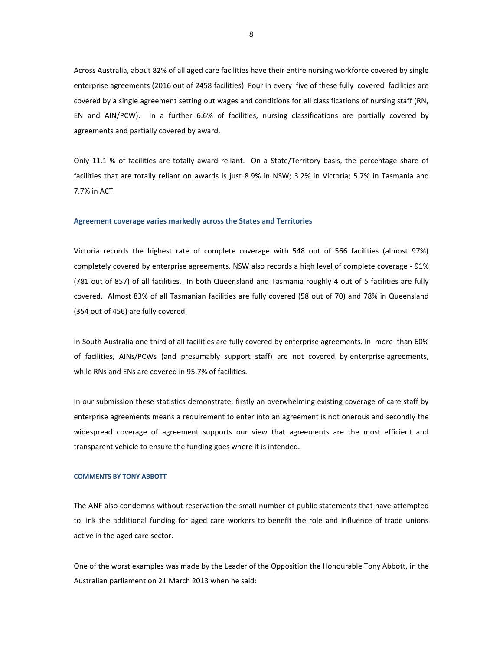Across Australia, about 82% of all aged care facilities have their entire nursing workforce covered by single enterprise agreements (2016 out of 2458 facilities). Four in every five of these fully covered facilities are covered by a single agreement setting out wages and conditions for all classifications of nursing staff (RN, EN and AIN/PCW). In a further 6.6% of facilities, nursing classifications are partially covered by agreements and partially covered by award.

Only 11.1 % of facilities are totally award reliant. On a State/Territory basis, the percentage share of facilities that are totally reliant on awards is just 8.9% in NSW; 3.2% in Victoria; 5.7% in Tasmania and 7.7% in ACT.

#### **Agreement coverage varies markedly across the States and Territories**

Victoria records the highest rate of complete coverage with 548 out of 566 facilities (almost 97%) completely covered by enterprise agreements. NSW also records a high level of complete coverage - 91% (781 out of 857) of all facilities. In both Queensland and Tasmania roughly 4 out of 5 facilities are fully covered. Almost 83% of all Tasmanian facilities are fully covered (58 out of 70) and 78% in Queensland (354 out of 456) are fully covered.

In South Australia one third of all facilities are fully covered by enterprise agreements. In more than 60% of facilities, AINs/PCWs (and presumably support staff) are not covered by enterprise agreements, while RNs and ENs are covered in 95.7% of facilities.

In our submission these statistics demonstrate; firstly an overwhelming existing coverage of care staff by enterprise agreements means a requirement to enter into an agreement is not onerous and secondly the widespread coverage of agreement supports our view that agreements are the most efficient and transparent vehicle to ensure the funding goes where it is intended.

#### **COMMENTS BY TONY ABBOTT**

The ANF also condemns without reservation the small number of public statements that have attempted to link the additional funding for aged care workers to benefit the role and influence of trade unions active in the aged care sector.

One of the worst examples was made by the Leader of the Opposition the Honourable Tony Abbott, in the Australian parliament on 21 March 2013 when he said: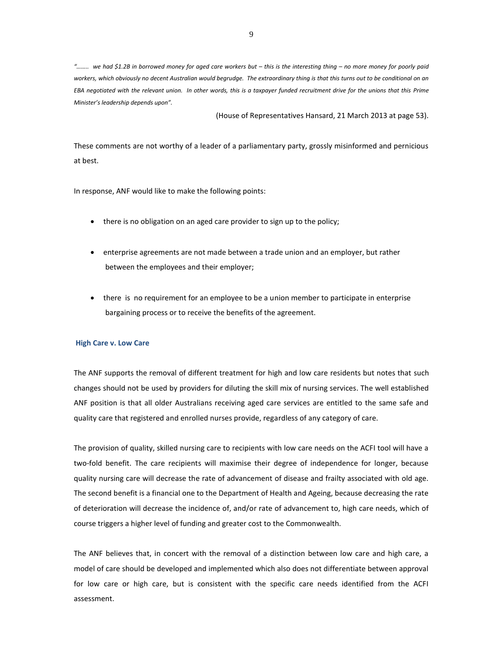*"…….. we had \$1.2B in borrowed money for aged care workers but – this is the interesting thing – no more money for poorly paid workers, which obviously no decent Australian would begrudge. The extraordinary thing is that this turns out to be conditional on an EBA negotiated with the relevant union. In other words, this is a taxpayer funded recruitment drive for the unions that this Prime Minister's leadership depends upon".* 

(House of Representatives Hansard, 21 March 2013 at page 53).

These comments are not worthy of a leader of a parliamentary party, grossly misinformed and pernicious at best.

In response, ANF would like to make the following points:

- there is no obligation on an aged care provider to sign up to the policy;
- enterprise agreements are not made between a trade union and an employer, but rather between the employees and their employer;
- there is no requirement for an employee to be a union member to participate in enterprise bargaining process or to receive the benefits of the agreement.

#### **High Care v. Low Care**

The ANF supports the removal of different treatment for high and low care residents but notes that such changes should not be used by providers for diluting the skill mix of nursing services. The well established ANF position is that all older Australians receiving aged care services are entitled to the same safe and quality care that registered and enrolled nurses provide, regardless of any category of care.

The provision of quality, skilled nursing care to recipients with low care needs on the ACFI tool will have a two-fold benefit. The care recipients will maximise their degree of independence for longer, because quality nursing care will decrease the rate of advancement of disease and frailty associated with old age. The second benefit is a financial one to the Department of Health and Ageing, because decreasing the rate of deterioration will decrease the incidence of, and/or rate of advancement to, high care needs, which of course triggers a higher level of funding and greater cost to the Commonwealth.

The ANF believes that, in concert with the removal of a distinction between low care and high care, a model of care should be developed and implemented which also does not differentiate between approval for low care or high care, but is consistent with the specific care needs identified from the ACFI assessment.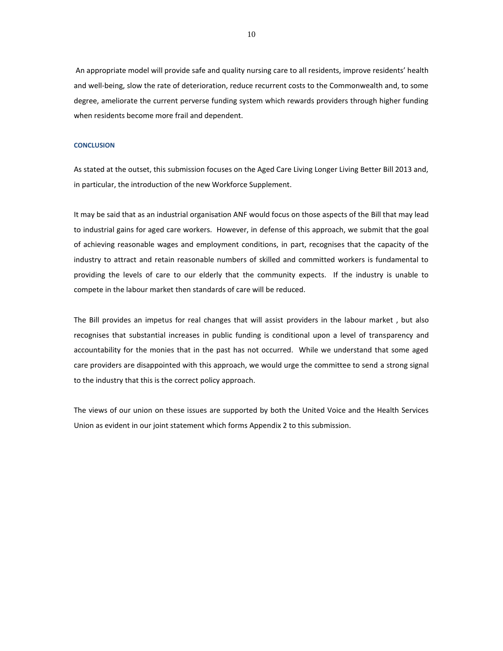An appropriate model will provide safe and quality nursing care to all residents, improve residents' health and well-being, slow the rate of deterioration, reduce recurrent costs to the Commonwealth and, to some degree, ameliorate the current perverse funding system which rewards providers through higher funding when residents become more frail and dependent.

#### **CONCLUSION**

As stated at the outset, this submission focuses on the Aged Care Living Longer Living Better Bill 2013 and, in particular, the introduction of the new Workforce Supplement.

It may be said that as an industrial organisation ANF would focus on those aspects of the Bill that may lead to industrial gains for aged care workers. However, in defense of this approach, we submit that the goal of achieving reasonable wages and employment conditions, in part, recognises that the capacity of the industry to attract and retain reasonable numbers of skilled and committed workers is fundamental to providing the levels of care to our elderly that the community expects. If the industry is unable to compete in the labour market then standards of care will be reduced.

The Bill provides an impetus for real changes that will assist providers in the labour market , but also recognises that substantial increases in public funding is conditional upon a level of transparency and accountability for the monies that in the past has not occurred. While we understand that some aged care providers are disappointed with this approach, we would urge the committee to send a strong signal to the industry that this is the correct policy approach.

The views of our union on these issues are supported by both the United Voice and the Health Services Union as evident in our joint statement which forms Appendix 2 to this submission.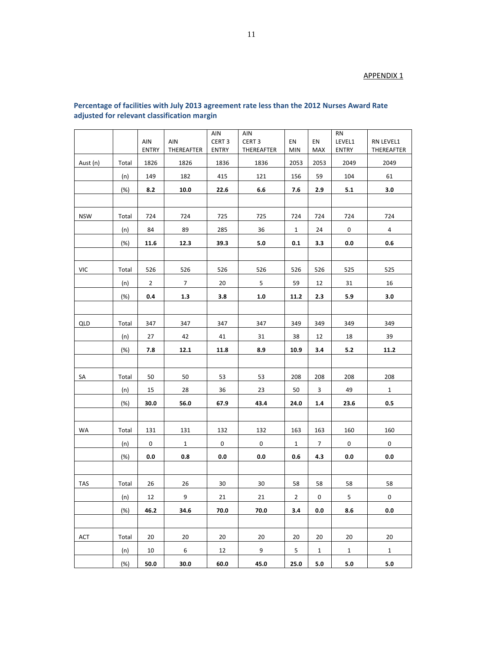# APPENDIX 1

|            |        | AIN<br><b>ENTRY</b> | AIN<br>THEREAFTER | AIN<br>CERT <sub>3</sub><br><b>ENTRY</b> | AIN<br>CERT <sub>3</sub><br>THEREAFTER | EN<br><b>MIN</b> | EN<br>MAX      | <b>RN</b><br>LEVEL1<br><b>ENTRY</b> | RN LEVEL1<br>THEREAFTER |
|------------|--------|---------------------|-------------------|------------------------------------------|----------------------------------------|------------------|----------------|-------------------------------------|-------------------------|
| Aust (n)   | Total  | 1826                | 1826              | 1836                                     | 1836                                   | 2053             | 2053           | 2049                                | 2049                    |
|            | (n)    | 149                 | 182               | 415                                      | 121                                    | 156              | 59             | 104                                 | 61                      |
|            | (%)    | 8.2                 | 10.0              | 22.6                                     | 6.6                                    | 7.6              | 2.9            | 5.1                                 | 3.0                     |
|            |        |                     |                   |                                          |                                        |                  |                |                                     |                         |
| <b>NSW</b> | Total  | 724                 | 724               | 725                                      | 725                                    | 724              | 724            | 724                                 | 724                     |
|            | (n)    | 84                  | 89                | 285                                      | 36                                     | $\mathbf{1}$     | 24             | 0                                   | 4                       |
|            | (%)    | 11.6                | 12.3              | 39.3                                     | 5.0                                    | 0.1              | 3.3            | 0.0                                 | 0.6                     |
|            |        |                     |                   |                                          |                                        |                  |                |                                     |                         |
| VIC        | Total  | 526                 | 526               | 526                                      | 526                                    | 526              | 526            | 525                                 | 525                     |
|            | (n)    | $\overline{2}$      | $\overline{7}$    | 20                                       | 5                                      | 59               | 12             | 31                                  | 16                      |
|            | (%)    | 0.4                 | 1.3               | 3.8                                      | 1.0                                    | 11.2             | 2.3            | 5.9                                 | 3.0                     |
|            |        |                     |                   |                                          |                                        |                  |                |                                     |                         |
| QLD        | Total  | 347                 | 347               | 347                                      | 347                                    | 349              | 349            | 349                                 | 349                     |
|            | (n)    | 27                  | 42                | 41                                       | 31                                     | 38               | 12             | 18                                  | 39                      |
|            | (%)    | 7.8                 | 12.1              | 11.8                                     | 8.9                                    | 10.9             | 3.4            | 5.2                                 | 11.2                    |
|            |        |                     |                   |                                          |                                        |                  |                |                                     |                         |
| SA         | Total  | 50                  | 50                | 53                                       | 53                                     | 208              | 208            | 208                                 | 208                     |
|            | (n)    | 15                  | 28                | 36                                       | 23                                     | 50               | 3              | 49                                  | $\mathbf{1}$            |
|            | (%)    | 30.0                | 56.0              | 67.9                                     | 43.4                                   | 24.0             | 1.4            | 23.6                                | 0.5                     |
|            |        |                     |                   |                                          |                                        |                  |                |                                     |                         |
| WA         | Total  | 131                 | 131               | 132                                      | 132                                    | 163              | 163            | 160                                 | 160                     |
|            | (n)    | 0                   | $\mathbf{1}$      | 0                                        | 0                                      | $\mathbf{1}$     | $\overline{7}$ | 0                                   | 0                       |
|            | (%)    | 0.0                 | 0.8               | 0.0                                      | 0.0                                    | 0.6              | 4.3            | 0.0                                 | 0.0                     |
|            |        |                     |                   |                                          |                                        |                  |                |                                     |                         |
| <b>TAS</b> | Total  | 26                  | 26                | 30                                       | 30                                     | 58               | 58             | 58                                  | 58                      |
|            | (n)    | 12                  | 9                 | 21                                       | 21                                     | $\overline{2}$   | 0              | $\overline{\mathbf{5}}$             | 0                       |
|            | (%)    | 46.2                | 34.6              | 70.0                                     | 70.0                                   | 3.4              | 0.0            | 8.6                                 | 0.0                     |
|            |        |                     |                   |                                          |                                        |                  |                |                                     |                         |
| ACT        | Total  | 20                  | 20                | 20                                       | 20                                     | 20               | 20             | 20                                  | 20                      |
|            | (n)    | 10                  | 6                 | 12                                       | 9                                      | 5                | $\mathbf{1}$   | $\mathbf{1}$                        | $\mathbf{1}$            |
|            | $(\%)$ | 50.0                | 30.0              | 60.0                                     | 45.0                                   | 25.0             | $5.0\,$        | $5.0\,$                             | $5.0\,$                 |

## **Percentage of facilities with July 2013 agreement rate less than the 2012 Nurses Award Rate adjusted for relevant classification margin**